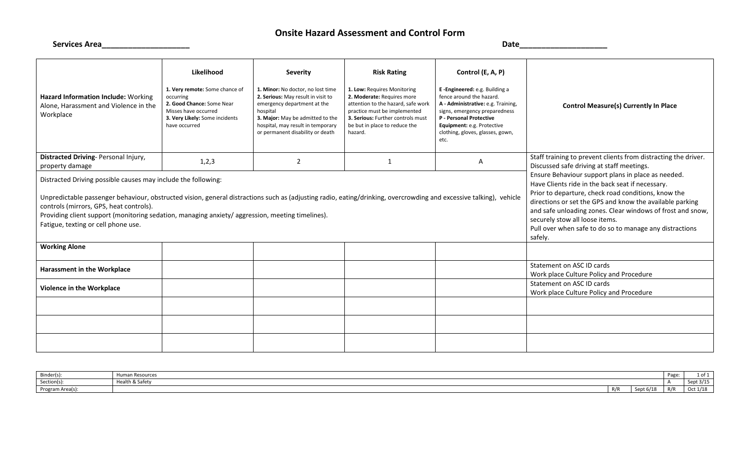## **Onsite Hazard Assessment and Control Form**

| <b>Services Area</b>                                                                                                                                                                                                                                                                                                                                                                                                      |                                                                                                                                                                   |                                                                                                                                                                                                                                                    |                                                                                                                                                                                                                                        | <b>Date</b>                                                                                                                                                                                                                                                       |                                                                                                                                                                                                                                                                                                                                                                                                 |
|---------------------------------------------------------------------------------------------------------------------------------------------------------------------------------------------------------------------------------------------------------------------------------------------------------------------------------------------------------------------------------------------------------------------------|-------------------------------------------------------------------------------------------------------------------------------------------------------------------|----------------------------------------------------------------------------------------------------------------------------------------------------------------------------------------------------------------------------------------------------|----------------------------------------------------------------------------------------------------------------------------------------------------------------------------------------------------------------------------------------|-------------------------------------------------------------------------------------------------------------------------------------------------------------------------------------------------------------------------------------------------------------------|-------------------------------------------------------------------------------------------------------------------------------------------------------------------------------------------------------------------------------------------------------------------------------------------------------------------------------------------------------------------------------------------------|
| Hazard Information Include: Working<br>Alone, Harassment and Violence in the<br>Workplace                                                                                                                                                                                                                                                                                                                                 | Likelihood<br>1. Very remote: Some chance of<br>occurring<br>2. Good Chance: Some Near<br>Misses have occurred<br>3. Very Likely: Some incidents<br>have occurred | <b>Severity</b><br>1. Minor: No doctor, no lost time<br>2. Serious: May result in visit to<br>emergency department at the<br>hospital<br>3. Major: May be admitted to the<br>hospital, may result in temporary<br>or permanent disability or death | <b>Risk Rating</b><br>1. Low: Requires Monitoring<br>2. Moderate: Requires more<br>attention to the hazard, safe work<br>practice must be implemented<br>3. Serious: Further controls must<br>be but in place to reduce the<br>hazard. | Control (E, A, P)<br>E-Engineered: e.g. Building a<br>fence around the hazard.<br>A - Administrative: e.g. Training,<br>signs, emergency preparedness<br><b>P</b> - Personal Protective<br>Equipment: e.g. Protective<br>clothing, gloves, glasses, gown,<br>etc. | <b>Control Measure(s) Currently In Place</b>                                                                                                                                                                                                                                                                                                                                                    |
| Distracted Driving- Personal Injury,<br>property damage                                                                                                                                                                                                                                                                                                                                                                   | 1,2,3                                                                                                                                                             | $\overline{2}$                                                                                                                                                                                                                                     | 1                                                                                                                                                                                                                                      | A                                                                                                                                                                                                                                                                 | Staff training to prevent clients from distracting the driver.<br>Discussed safe driving at staff meetings.                                                                                                                                                                                                                                                                                     |
| Distracted Driving possible causes may include the following:<br>Unpredictable passenger behaviour, obstructed vision, general distractions such as (adjusting radio, eating/drinking, overcrowding and excessive talking), vehicle<br>controls (mirrors, GPS, heat controls).<br>Providing client support (monitoring sedation, managing anxiety/ aggression, meeting timelines).<br>Fatigue, texting or cell phone use. |                                                                                                                                                                   |                                                                                                                                                                                                                                                    |                                                                                                                                                                                                                                        |                                                                                                                                                                                                                                                                   | Ensure Behaviour support plans in place as needed.<br>Have Clients ride in the back seat if necessary.<br>Prior to departure, check road conditions, know the<br>directions or set the GPS and know the available parking<br>and safe unloading zones. Clear windows of frost and snow,<br>securely stow all loose items.<br>Pull over when safe to do so to manage any distractions<br>safely. |
| <b>Working Alone</b>                                                                                                                                                                                                                                                                                                                                                                                                      |                                                                                                                                                                   |                                                                                                                                                                                                                                                    |                                                                                                                                                                                                                                        |                                                                                                                                                                                                                                                                   |                                                                                                                                                                                                                                                                                                                                                                                                 |
| Harassment in the Workplace                                                                                                                                                                                                                                                                                                                                                                                               |                                                                                                                                                                   |                                                                                                                                                                                                                                                    |                                                                                                                                                                                                                                        |                                                                                                                                                                                                                                                                   | Statement on ASC ID cards<br>Work place Culture Policy and Procedure                                                                                                                                                                                                                                                                                                                            |
| Violence in the Workplace                                                                                                                                                                                                                                                                                                                                                                                                 |                                                                                                                                                                   |                                                                                                                                                                                                                                                    |                                                                                                                                                                                                                                        |                                                                                                                                                                                                                                                                   | Statement on ASC ID cards<br>Work place Culture Policy and Procedure                                                                                                                                                                                                                                                                                                                            |
|                                                                                                                                                                                                                                                                                                                                                                                                                           |                                                                                                                                                                   |                                                                                                                                                                                                                                                    |                                                                                                                                                                                                                                        |                                                                                                                                                                                                                                                                   |                                                                                                                                                                                                                                                                                                                                                                                                 |
|                                                                                                                                                                                                                                                                                                                                                                                                                           |                                                                                                                                                                   |                                                                                                                                                                                                                                                    |                                                                                                                                                                                                                                        |                                                                                                                                                                                                                                                                   |                                                                                                                                                                                                                                                                                                                                                                                                 |

Binder(s): Human Resources Page: 1 of 1 Section(s): Health & Safety A Sept 3/15 Program Area(s): R/R Sept 6/18 R/R Oct 1/18